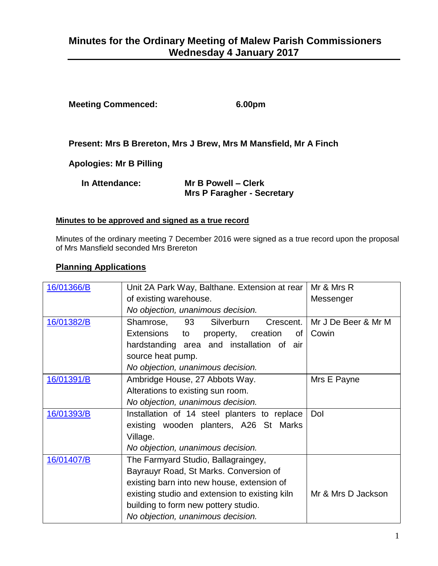# **Minutes for the Ordinary Meeting of Malew Parish Commissioners Wednesday 4 January 2017**

| 6.00pm |
|--------|
|        |

**Present: Mrs B Brereton, Mrs J Brew, Mrs M Mansfield, Mr A Finch** 

**Apologies: Mr B Pilling**

| In Attendance: | Mr B Powell - Clerk               |  |
|----------------|-----------------------------------|--|
|                | <b>Mrs P Faragher - Secretary</b> |  |

#### **Minutes to be approved and signed as a true record**

Minutes of the ordinary meeting 7 December 2016 were signed as a true record upon the proposal of Mrs Mansfield seconded Mrs Brereton

#### **Planning Applications**

| 16/01366/B | Unit 2A Park Way, Balthane. Extension at rear  | Mr & Mrs R          |
|------------|------------------------------------------------|---------------------|
|            | of existing warehouse.                         | Messenger           |
|            | No objection, unanimous decision.              |                     |
| 16/01382/B | 93<br>Silverburn<br>Shamrose,<br>Crescent.     | Mr J De Beer & Mr M |
|            | Extensions<br>property, creation<br>to<br>of   | Cowin               |
|            | hardstanding area and installation of air      |                     |
|            | source heat pump.                              |                     |
|            | No objection, unanimous decision.              |                     |
| 16/01391/B | Ambridge House, 27 Abbots Way.                 | Mrs E Payne         |
|            | Alterations to existing sun room.              |                     |
|            | No objection, unanimous decision.              |                     |
| 16/01393/B | Installation of 14 steel planters to replace   | Dol                 |
|            | existing wooden planters, A26 St Marks         |                     |
|            | Village.                                       |                     |
|            | No objection, unanimous decision.              |                     |
| 16/01407/B | The Farmyard Studio, Ballagraingey,            |                     |
|            | Bayrauyr Road, St Marks. Conversion of         |                     |
|            | existing barn into new house, extension of     |                     |
|            | existing studio and extension to existing kiln | Mr & Mrs D Jackson  |
|            | building to form new pottery studio.           |                     |
|            | No objection, unanimous decision.              |                     |
|            |                                                |                     |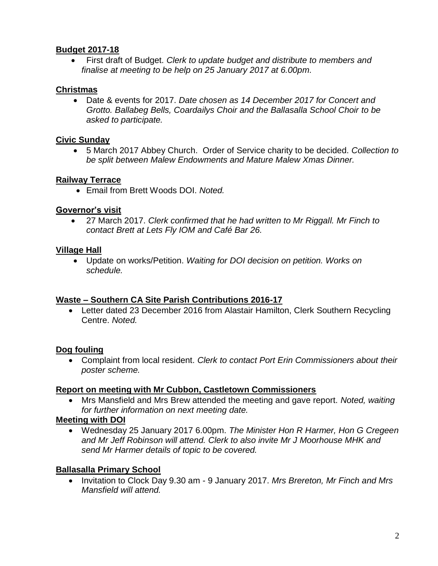### **Budget 2017-18**

 First draft of Budget. *Clerk to update budget and distribute to members and finalise at meeting to be help on 25 January 2017 at 6.00pm.*

## **Christmas**

 Date & events for 2017. *Date chosen as 14 December 2017 for Concert and Grotto. Ballabeg Bells, Coardailys Choir and the Ballasalla School Choir to be asked to participate.*

### **Civic Sunday**

 5 March 2017 Abbey Church. Order of Service charity to be decided. *Collection to be split between Malew Endowments and Mature Malew Xmas Dinner.*

### **Railway Terrace**

Email from Brett Woods DOI. *Noted.* 

### **Governor's visit**

 27 March 2017. *Clerk confirmed that he had written to Mr Riggall. Mr Finch to contact Brett at Lets Fly IOM and Café Bar 26.*

### **Village Hall**

 Update on works/Petition. *Waiting for DOI decision on petition. Works on schedule.*

### **Waste – Southern CA Site Parish Contributions 2016-17**

 Letter dated 23 December 2016 from Alastair Hamilton, Clerk Southern Recycling Centre. *Noted.*

# **Dog fouling**

 Complaint from local resident. *Clerk to contact Port Erin Commissioners about their poster scheme.*

### **Report on meeting with Mr Cubbon, Castletown Commissioners**

 Mrs Mansfield and Mrs Brew attended the meeting and gave report. *Noted, waiting for further information on next meeting date.*

# **Meeting with DOI**

 Wednesday 25 January 2017 6.00pm. *The Minister Hon R Harmer, Hon G Cregeen and Mr Jeff Robinson will attend. Clerk to also invite Mr J Moorhouse MHK and send Mr Harmer details of topic to be covered.*

# **Ballasalla Primary School**

 Invitation to Clock Day 9.30 am - 9 January 2017. *Mrs Brereton, Mr Finch and Mrs Mansfield will attend.*